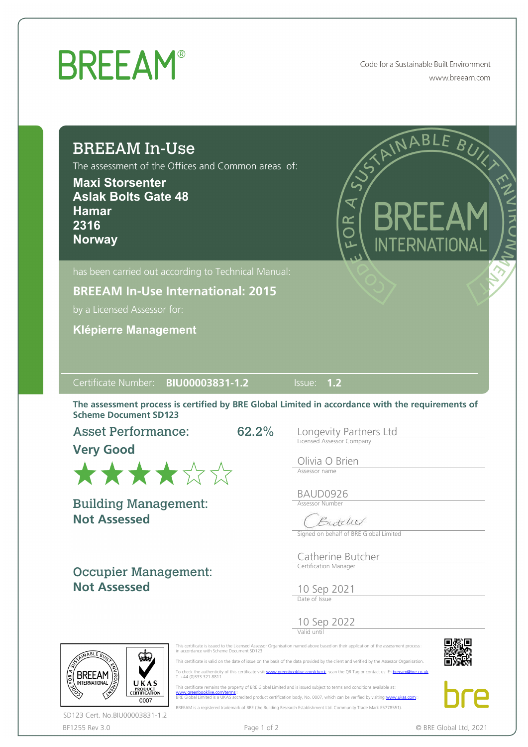## **BREEAM®**

Code for a Sustainable Built Environment www.breeam.com

| <b>BREEAM In-Use</b><br>The assessment of the Offices and Common areas of:<br><b>Maxi Storsenter</b><br><b>Aslak Bolts Gate 48</b><br><b>Hamar</b><br>2316<br><b>Norway</b> | STAINABLE BUX<br>$\overline{\mathbf{X}}$<br>BREEA<br>8<br>O<br><b>INTERNATIONAL</b>              |
|-----------------------------------------------------------------------------------------------------------------------------------------------------------------------------|--------------------------------------------------------------------------------------------------|
| has been carried out according to Technical Manual:<br><b>BREEAM In-Use International: 2015</b><br>by a Licensed Assessor for:<br><b>Klépierre Management</b>               |                                                                                                  |
|                                                                                                                                                                             |                                                                                                  |
| BIU00003831-1.2<br>Certificate Number:                                                                                                                                      | Issue: 1.2                                                                                       |
| <b>Scheme Document SD123</b>                                                                                                                                                | The assessment process is certified by BRE Global Limited in accordance with the requirements of |
| 62.2%<br><b>Asset Performance:</b>                                                                                                                                          | Longevity Partners Ltd                                                                           |
| <b>Very Good</b>                                                                                                                                                            | Licensed Assessor Company<br>Olivia O Brien<br>Assessor name                                     |
| ******                                                                                                                                                                      | BAUD0926                                                                                         |
| <b>Building Management:</b>                                                                                                                                                 | <b>Assessor Number</b>                                                                           |
| <b>Not Assessed</b>                                                                                                                                                         | rutche<br>Signed on behalf of BRE Global Limited                                                 |
|                                                                                                                                                                             | Catherine Butcher<br>Certification Manager                                                       |
| <b>Occupier Management:</b><br><b>Not Assessed</b>                                                                                                                          |                                                                                                  |
|                                                                                                                                                                             | 10 Sep 2021<br>Date of Issue                                                                     |
|                                                                                                                                                                             | 10 Sep 2022                                                                                      |



This certificate remains the property of BRE Global Limited and is issued subject to terms and conditions available at:<br>[www.greenbooklive.com/terms](http://www.greenbooklive.com/terms)...<br>BRE Global Limited is a UKAS accredited product certification body, No. BREEAM is a registered trademark of BRE (the Building Research Establishment Ltd. Community Trade Mark E5778551).





BF1255 Rev 3.0 **Page 1 of 2** Page 1 of 2 **Page 1 of 2 C** BRE Global Ltd, 2021